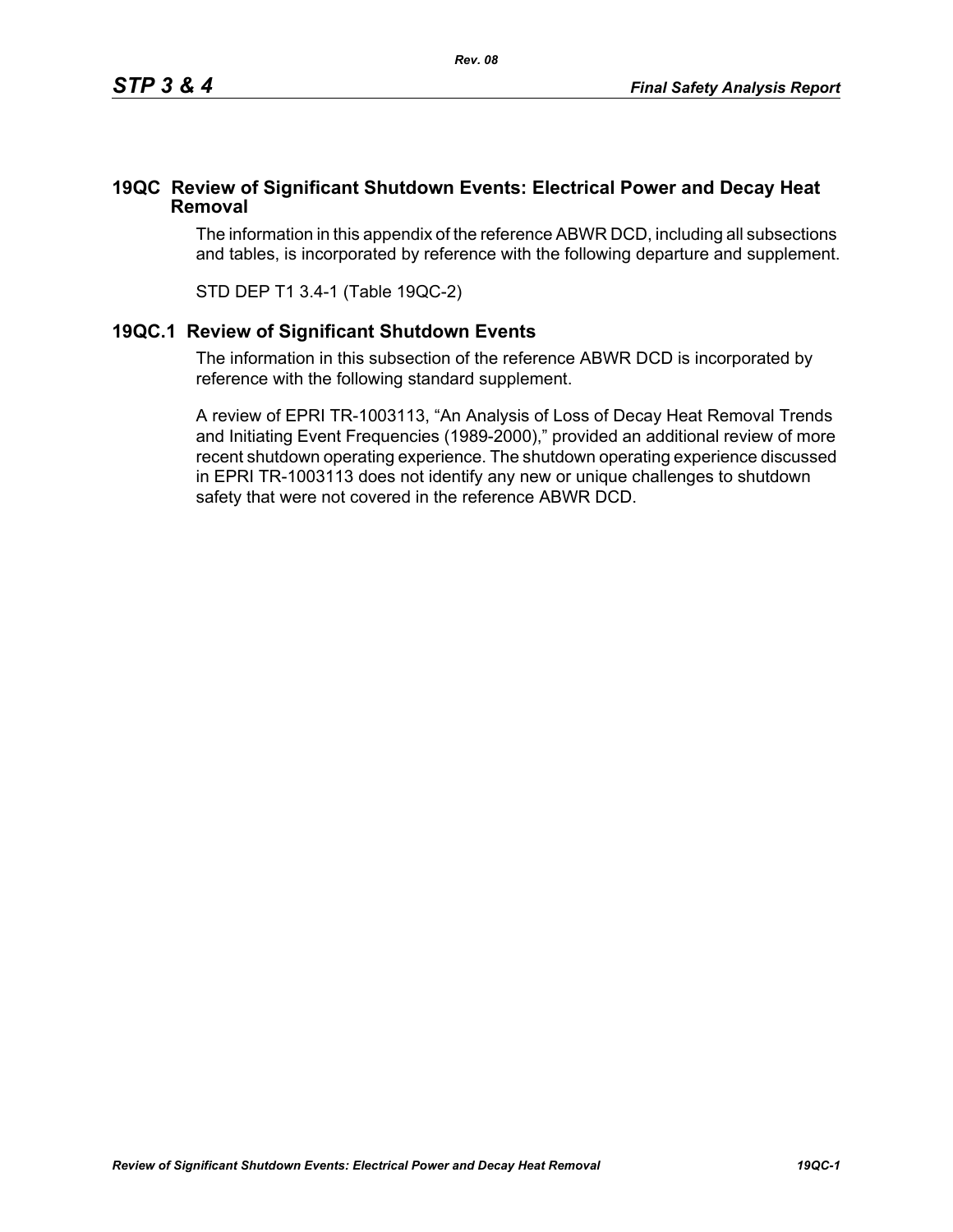## **19QC Review of Significant Shutdown Events: Electrical Power and Decay Heat Removal**

The information in this appendix of the reference ABWR DCD, including all subsections and tables, is incorporated by reference with the following departure and supplement.

STD DEP T1 3.4-1 (Table 19QC-2)

## **19QC.1 Review of Significant Shutdown Events**

The information in this subsection of the reference ABWR DCD is incorporated by reference with the following standard supplement.

A review of EPRI TR-1003113, "An Analysis of Loss of Decay Heat Removal Trends and Initiating Event Frequencies (1989-2000)," provided an additional review of more recent shutdown operating experience. The shutdown operating experience discussed in EPRI TR-1003113 does not identify any new or unique challenges to shutdown safety that were not covered in the reference ABWR DCD.